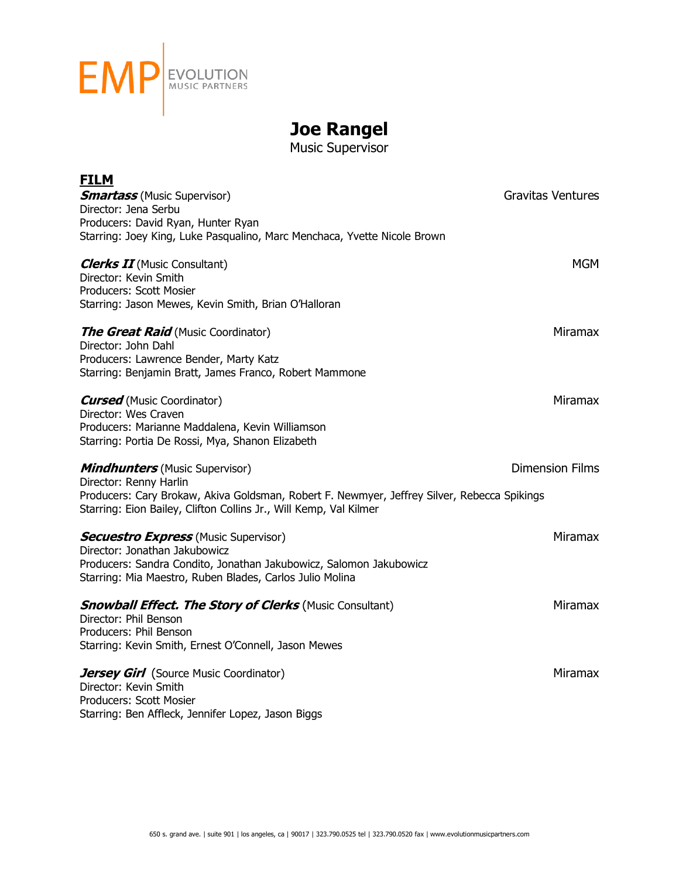

## **Joe Rangel**

Music Supervisor

| <b>FILM</b>                                                                                                                                                      |                          |
|------------------------------------------------------------------------------------------------------------------------------------------------------------------|--------------------------|
| <b>Smartass</b> (Music Supervisor)                                                                                                                               | <b>Gravitas Ventures</b> |
| Director: Jena Serbu                                                                                                                                             |                          |
| Producers: David Ryan, Hunter Ryan<br>Starring: Joey King, Luke Pasqualino, Marc Menchaca, Yvette Nicole Brown                                                   |                          |
|                                                                                                                                                                  |                          |
| <b>Clerks II</b> (Music Consultant)                                                                                                                              | <b>MGM</b>               |
| Director: Kevin Smith<br>Producers: Scott Mosier                                                                                                                 |                          |
| Starring: Jason Mewes, Kevin Smith, Brian O'Halloran                                                                                                             |                          |
| <b>The Great Raid</b> (Music Coordinator)                                                                                                                        | Miramax                  |
| Director: John Dahl                                                                                                                                              |                          |
| Producers: Lawrence Bender, Marty Katz                                                                                                                           |                          |
| Starring: Benjamin Bratt, James Franco, Robert Mammone                                                                                                           |                          |
| <b>Cursed</b> (Music Coordinator)                                                                                                                                | Miramax                  |
| Director: Wes Craven                                                                                                                                             |                          |
| Producers: Marianne Maddalena, Kevin Williamson                                                                                                                  |                          |
| Starring: Portia De Rossi, Mya, Shanon Elizabeth                                                                                                                 |                          |
| <b>Mindhunters</b> (Music Supervisor)                                                                                                                            | <b>Dimension Films</b>   |
| Director: Renny Harlin                                                                                                                                           |                          |
| Producers: Cary Brokaw, Akiva Goldsman, Robert F. Newmyer, Jeffrey Silver, Rebecca Spikings<br>Starring: Eion Bailey, Clifton Collins Jr., Will Kemp, Val Kilmer |                          |
|                                                                                                                                                                  |                          |
| <b>Secuestro Express</b> (Music Supervisor)                                                                                                                      | <b>Miramax</b>           |
| Director: Jonathan Jakubowicz                                                                                                                                    |                          |
| Producers: Sandra Condito, Jonathan Jakubowicz, Salomon Jakubowicz<br>Starring: Mia Maestro, Ruben Blades, Carlos Julio Molina                                   |                          |
|                                                                                                                                                                  |                          |
| <b>Snowball Effect. The Story of Clerks</b> (Music Consultant)                                                                                                   | <b>Miramax</b>           |
| Director: Phil Benson                                                                                                                                            |                          |
| Producers: Phil Benson<br>Starring: Kevin Smith, Ernest O'Connell, Jason Mewes                                                                                   |                          |
|                                                                                                                                                                  |                          |
| Jersey Girl (Source Music Coordinator)                                                                                                                           | <b>Miramax</b>           |
| Director: Kevin Smith                                                                                                                                            |                          |
| Producers: Scott Mosier<br>Starring: Ben Affleck, Jennifer Lopez, Jason Biggs                                                                                    |                          |
|                                                                                                                                                                  |                          |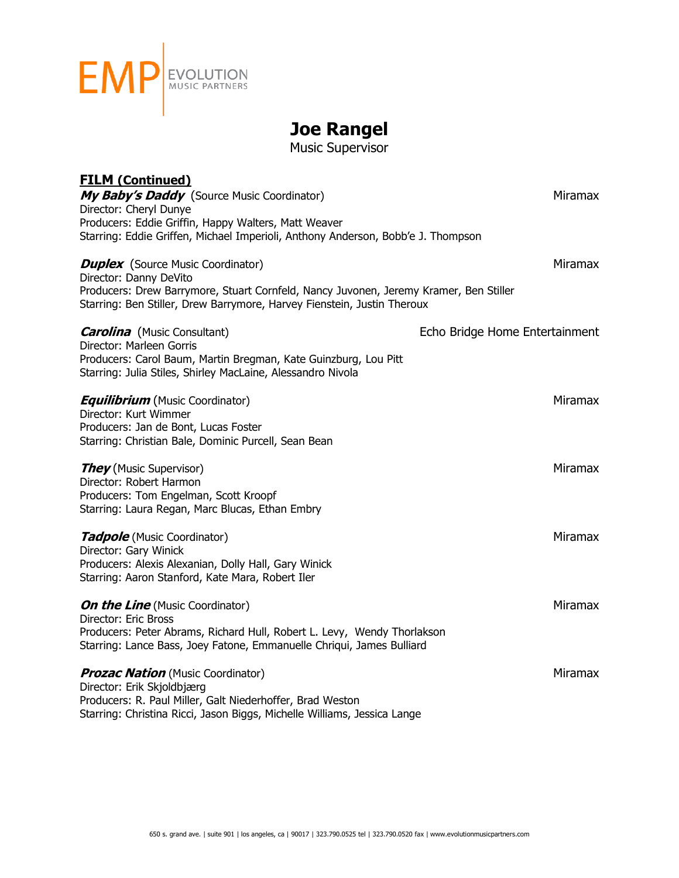

## **Joe Rangel**

Music Supervisor

| <b>FILM (Continued)</b><br>My Baby's Daddy (Source Music Coordinator)                                                                                                                                                                  | <b>Miramax</b>                 |
|----------------------------------------------------------------------------------------------------------------------------------------------------------------------------------------------------------------------------------------|--------------------------------|
| Director: Cheryl Dunye<br>Producers: Eddie Griffin, Happy Walters, Matt Weaver<br>Starring: Eddie Griffen, Michael Imperioli, Anthony Anderson, Bobb'e J. Thompson                                                                     |                                |
| <b>Duplex</b> (Source Music Coordinator)<br>Director: Danny DeVito<br>Producers: Drew Barrymore, Stuart Cornfeld, Nancy Juvonen, Jeremy Kramer, Ben Stiller<br>Starring: Ben Stiller, Drew Barrymore, Harvey Fienstein, Justin Theroux | <b>Miramax</b>                 |
| <b>Carolina</b> (Music Consultant)<br>Director: Marleen Gorris<br>Producers: Carol Baum, Martin Bregman, Kate Guinzburg, Lou Pitt<br>Starring: Julia Stiles, Shirley MacLaine, Alessandro Nivola                                       | Echo Bridge Home Entertainment |
| <b>Equilibrium</b> (Music Coordinator)<br>Director: Kurt Wimmer<br>Producers: Jan de Bont, Lucas Foster<br>Starring: Christian Bale, Dominic Purcell, Sean Bean                                                                        | <b>Miramax</b>                 |
| <b>They</b> (Music Supervisor)<br>Director: Robert Harmon<br>Producers: Tom Engelman, Scott Kroopf<br>Starring: Laura Regan, Marc Blucas, Ethan Embry                                                                                  | <b>Miramax</b>                 |
| <b>Tadpole</b> (Music Coordinator)<br>Director: Gary Winick<br>Producers: Alexis Alexanian, Dolly Hall, Gary Winick<br>Starring: Aaron Stanford, Kate Mara, Robert Iler                                                                | <b>Miramax</b>                 |
| <b>On the Line</b> (Music Coordinator)<br>Director: Eric Bross<br>Producers: Peter Abrams, Richard Hull, Robert L. Levy, Wendy Thorlakson<br>Starring: Lance Bass, Joey Fatone, Emmanuelle Chriqui, James Bulliard                     | <b>Miramax</b>                 |
| <b>Prozac Nation</b> (Music Coordinator)<br>Director: Erik Skjoldbjærg<br>Producers: R. Paul Miller, Galt Niederhoffer, Brad Weston<br>Starring: Christina Ricci, Jason Biggs, Michelle Williams, Jessica Lange                        | <b>Miramax</b>                 |